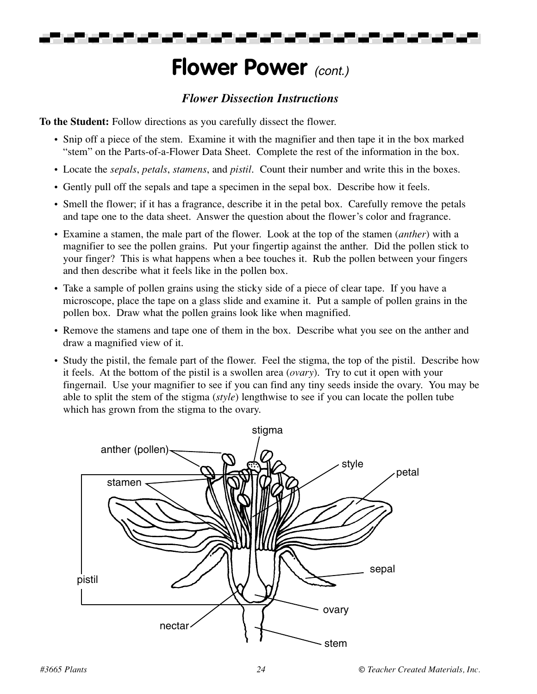### **Flower Power** *(cont.)*

#### *Flower Dissection Instructions*

**To the Student:** Follow directions as you carefully dissect the flower.

- Snip off a piece of the stem. Examine it with the magnifier and then tape it in the box marked "stem" on the Parts-of-a-Flower Data Sheet. Complete the rest of the information in the box.
- Locate the *sepals*, *petals*, *stamens*, and *pistil*. Count their number and write this in the boxes.
- Gently pull off the sepals and tape a specimen in the sepal box. Describe how it feels.
- Smell the flower; if it has a fragrance, describe it in the petal box. Carefully remove the petals and tape one to the data sheet. Answer the question about the flower's color and fragrance.
- Examine a stamen, the male part of the flower. Look at the top of the stamen (*anther*) with a magnifier to see the pollen grains. Put your fingertip against the anther. Did the pollen stick to your finger? This is what happens when a bee touches it. Rub the pollen between your fingers and then describe what it feels like in the pollen box.
- Take a sample of pollen grains using the sticky side of a piece of clear tape. If you have a microscope, place the tape on a glass slide and examine it. Put a sample of pollen grains in the pollen box. Draw what the pollen grains look like when magnified.
- Remove the stamens and tape one of them in the box. Describe what you see on the anther and draw a magnified view of it.
- Study the pistil, the female part of the flower. Feel the stigma, the top of the pistil. Describe how it feels. At the bottom of the pistil is a swollen area (*ovary*). Try to cut it open with your fingernail. Use your magnifier to see if you can find any tiny seeds inside the ovary. You may be able to split the stem of the stigma (*style*) lengthwise to see if you can locate the pollen tube which has grown from the stigma to the ovary.

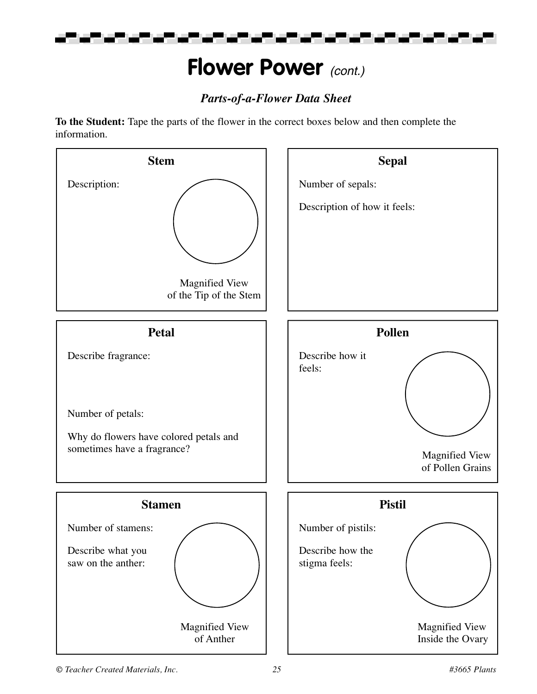----- -. . . . . . . . . . . . . . . . . .

# **Flower Power** *(cont.)*

### *Parts-of-a-Flower Data Sheet*

**To the Student:** Tape the parts of the flower in the correct boxes below and then complete the information.



*<sup>©</sup> Teacher Created Materials, Inc. 25 #3665 Plants*